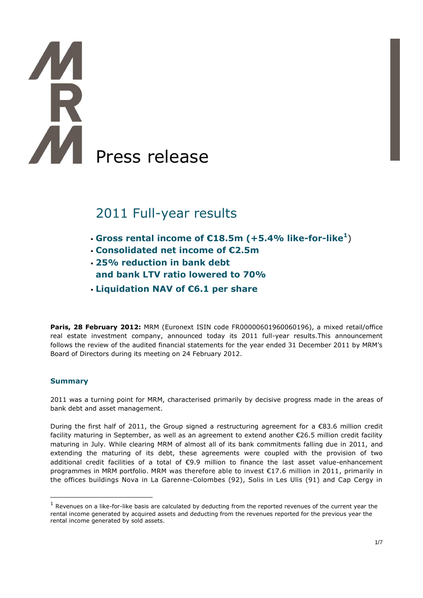# Press release

# 2011 Full-year results

- **Gross rental income of €18.5m (+5.4% like-for-like 1** )
- **Consolidated net income of €2.5m**
- **25% reduction in bank debt and bank LTV ratio lowered to 70%**
- **Liquidation NAV of €6.1 per share**

Paris, 28 February 2012: MRM (Euronext ISIN code FR00000601960060196), a mixed retail/office real estate investment company, announced today its 2011 full-year results.This announcement follows the review of the audited financial statements for the year ended 31 December 2011 by MRM's Board of Directors during its meeting on 24 February 2012.

# **Summary**

 $\overline{a}$ 

2011 was a turning point for MRM, characterised primarily by decisive progress made in the areas of bank debt and asset management.

During the first half of 2011, the Group signed a restructuring agreement for a €83.6 million credit facility maturing in September, as well as an agreement to extend another €26.5 million credit facility maturing in July. While clearing MRM of almost all of its bank commitments falling due in 2011, and extending the maturing of its debt, these agreements were coupled with the provision of two additional credit facilities of a total of €9.9 million to finance the last asset value-enhancement programmes in MRM portfolio. MRM was therefore able to invest €17.6 million in 2011, primarily in the offices buildings Nova in La Garenne-Colombes (92), Solis in Les Ulis (91) and Cap Cergy in

 $<sup>1</sup>$  Revenues on a like-for-like basis are calculated by deducting from the reported revenues of the current year the</sup> rental income generated by acquired assets and deducting from the revenues reported for the previous year the rental income generated by sold assets.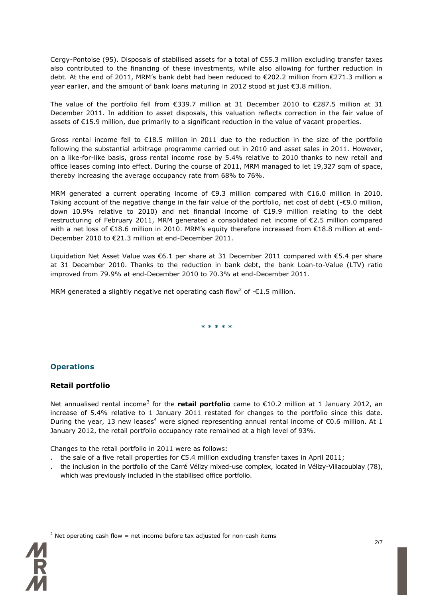Cergy-Pontoise (95). Disposals of stabilised assets for a total of €55.3 million excluding transfer taxes also contributed to the financing of these investments, while also allowing for further reduction in debt. At the end of 2011, MRM's bank debt had been reduced to €202.2 million from €271.3 million a year earlier, and the amount of bank loans maturing in 2012 stood at just €3.8 million.

The value of the portfolio fell from €339.7 million at 31 December 2010 to €287.5 million at 31 December 2011. In addition to asset disposals, this valuation reflects correction in the fair value of assets of €15.9 million, due primarily to a significant reduction in the value of vacant properties.

Gross rental income fell to €18.5 million in 2011 due to the reduction in the size of the portfolio following the substantial arbitrage programme carried out in 2010 and asset sales in 2011. However, on a like-for-like basis, gross rental income rose by 5.4% relative to 2010 thanks to new retail and office leases coming into effect. During the course of 2011, MRM managed to let 19,327 sqm of space, thereby increasing the average occupancy rate from 68% to 76%.

MRM generated a current operating income of €9.3 million compared with €16.0 million in 2010. Taking account of the negative change in the fair value of the portfolio, net cost of debt (-€9.0 million, down 10.9% relative to 2010) and net financial income of €19.9 million relating to the debt restructuring of February 2011, MRM generated a consolidated net income of €2.5 million compared with a net loss of €18.6 million in 2010. MRM's equity therefore increased from €18.8 million at end-December 2010 to €21.3 million at end-December 2011.

Liquidation Net Asset Value was €6.1 per share at 31 December 2011 compared with €5.4 per share at 31 December 2010. Thanks to the reduction in bank debt, the bank Loan-to-Value (LTV) ratio improved from 79.9% at end-December 2010 to 70.3% at end-December 2011.

MRM generated a slightly negative net operating cash flow<sup>2</sup> of - $\epsilon$ 1.5 million.

**\* \* \* \* \***

# **Operations**

# **Retail portfolio**

Net annualised rental income<sup>3</sup> for the **retail portfolio** came to €10.2 million at 1 January 2012, an increase of 5.4% relative to 1 January 2011 restated for changes to the portfolio since this date. During the year, 13 new leases<sup>4</sup> were signed representing annual rental income of €0.6 million. At 1 January 2012, the retail portfolio occupancy rate remained at a high level of 93%.

Changes to the retail portfolio in 2011 were as follows:

- the sale of a five retail properties for  $\epsilon$ 5.4 million excluding transfer taxes in April 2011;
- . the inclusion in the portfolio of the Carré Vélizy mixed-use complex, located in Vélizy-Villacoublay (78), which was previously included in the stabilised office portfolio.



 $\overline{a}$ 

<sup>2</sup> Net operating cash flow = net income before tax adjusted for non-cash items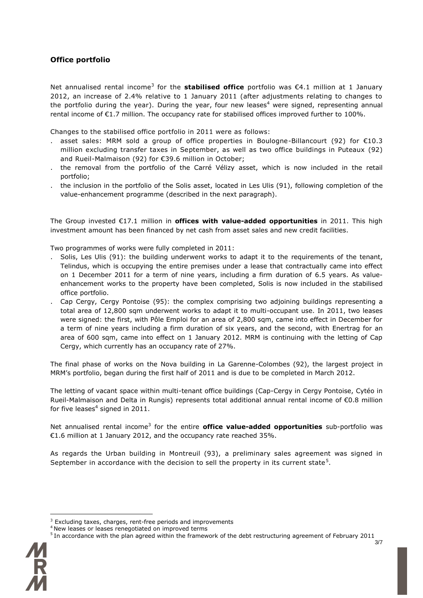# **Office portfolio**

Net annualised rental income<sup>3</sup> for the **stabilised office** portfolio was €4.1 million at 1 January 2012, an increase of 2.4% relative to 1 January 2011 (after adjustments relating to changes to the portfolio during the year). During the year, four new leases<sup>4</sup> were signed, representing annual rental income of  $\epsilon$ 1.7 million. The occupancy rate for stabilised offices improved further to 100%.

Changes to the stabilised office portfolio in 2011 were as follows:

- . asset sales: MRM sold a group of office properties in Boulogne-Billancourt (92) for €10.3 million excluding transfer taxes in September, as well as two office buildings in Puteaux (92) and Rueil-Malmaison (92) for €39.6 million in October;
- . the removal from the portfolio of the Carré Vélizy asset, which is now included in the retail portfolio;
- . the inclusion in the portfolio of the Solis asset, located in Les Ulis (91), following completion of the value-enhancement programme (described in the next paragraph).

The Group invested €17.1 million in **offices with value-added opportunities** in 2011. This high investment amount has been financed by net cash from asset sales and new credit facilities.

Two programmes of works were fully completed in 2011:

- . Solis, Les Ulis (91): the building underwent works to adapt it to the requirements of the tenant, Telindus, which is occupying the entire premises under a lease that contractually came into effect on 1 December 2011 for a term of nine years, including a firm duration of 6.5 years. As valueenhancement works to the property have been completed, Solis is now included in the stabilised office portfolio.
- . Cap Cergy, Cergy Pontoise (95): the complex comprising two adjoining buildings representing a total area of 12,800 sqm underwent works to adapt it to multi-occupant use. In 2011, two leases were signed: the first, with Pôle Emploi for an area of 2,800 sqm, came into effect in December for a term of nine years including a firm duration of six years, and the second, with Enertrag for an area of 600 sqm, came into effect on 1 January 2012. MRM is continuing with the letting of Cap Cergy, which currently has an occupancy rate of 27%.

The final phase of works on the Nova building in La Garenne-Colombes (92), the largest project in MRM's portfolio, began during the first half of 2011 and is due to be completed in March 2012.

The letting of vacant space within multi-tenant office buildings (Cap-Cergy in Cergy Pontoise, Cytéo in Rueil-Malmaison and Delta in Rungis) represents total additional annual rental income of €0.8 million for five leases<sup>4</sup> signed in 2011.

Net annualised rental income<sup>3</sup> for the entire **office value-added opportunities** sub-portfolio was €1.6 million at 1 January 2012, and the occupancy rate reached 35%.

As regards the Urban building in Montreuil (93), a preliminary sales agreement was signed in September in accordance with the decision to sell the property in its current state<sup>5</sup>.

<sup>3/7</sup> <sup>5</sup> In accordance with the plan agreed within the framework of the debt restructuring agreement of February 2011



 $\overline{a}$ 

<sup>&</sup>lt;sup>3</sup> Excluding taxes, charges, rent-free periods and improvements

<sup>4</sup> New leases or leases renegotiated on improved terms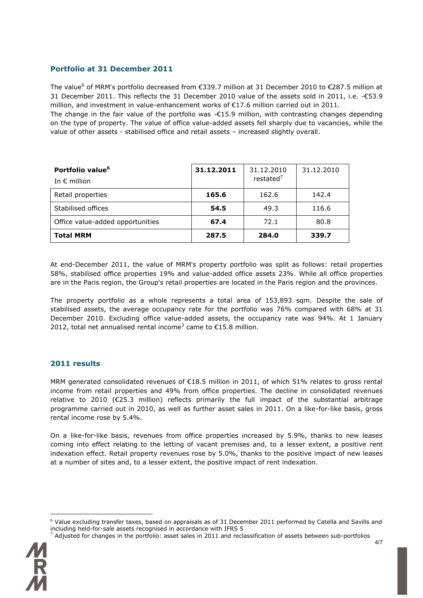# **Portfolio at 31 December 2011**

The value<sup>6</sup> of MRM's portfolio decreased from  $\epsilon$ 339.7 million at 31 December 2010 to  $\epsilon$ 287.5 million at 31 December 2011. This reflects the 31 December 2010 value of the assets sold in 2011, i.e. -€53.9 million, and investment in value-enhancement works of €17.6 million carried out in 2011.

The change in the fair value of the portfolio was -€15.9 million, with contrasting changes depending on the type of property. The value of office value-added assets fell sharply due to vacancies, while the value of other assets - stabilised office and retail assets – increased slightly overall.

| Portfolio value <sup>6</sup><br>In $\epsilon$ million | 31.12.2011 | 31.12.2010<br>restated <sup>7</sup> | 31.12.2010 |
|-------------------------------------------------------|------------|-------------------------------------|------------|
| Retail properties                                     | 165.6      | 162.6                               | 142.4      |
| Stabilised offices                                    | 54.5       | 49.3                                | 116.6      |
| Office value-added opportunities                      | 67.4       | 72.1                                | 80.8       |
| <b>Total MRM</b>                                      | 287.5      | 284.0                               | 339.7      |

At end-December 2011, the value of MRM's property portfolio was split as follows: retail properties 58%, stabilised office properties 19% and value-added office assets 23%. While all office properties are in the Paris region, the Group's retail properties are located in the Paris region and the provinces.

The property portfolio as a whole represents a total area of 153,893 sqm. Despite the sale of stabilised assets, the average occupancy rate for the portfolio was 76% compared with 68% at 31 December 2010. Excluding office value-added assets, the occupancy rate was 94%. At 1 January 2012, total net annualised rental income<sup>3</sup> came to  $\epsilon$ 15.8 million.

#### **2011 results**

MRM generated consolidated revenues of €18.5 million in 2011, of which 51% relates to gross rental income from retail properties and 49% from office properties. The decline in consolidated revenues relative to 2010 (€25.3 million) reflects primarily the full impact of the substantial arbitrage programme carried out in 2010, as well as further asset sales in 2011. On a like-for-like basis, gross rental income rose by 5.4%.

On a like-for-like basis, revenues from office properties increased by 5.9%, thanks to new leases coming into effect relating to the letting of vacant premises and, to a lesser extent, a positive rent indexation effect. Retail property revenues rose by 5.0%, thanks to the positive impact of new leases at a number of sites and, to a lesser extent, the positive impact of rent indexation.

 $^7$  Adjusted for changes in the portfolio: asset sales in 2011 and reclassification of assets between sub-portfolios



 $\overline{a}$ 

 $6$  Value excluding transfer taxes, based on appraisals as of 31 December 2011 performed by Catella and Savills and including held-for-sale assets recognised in accordance with IFRS 5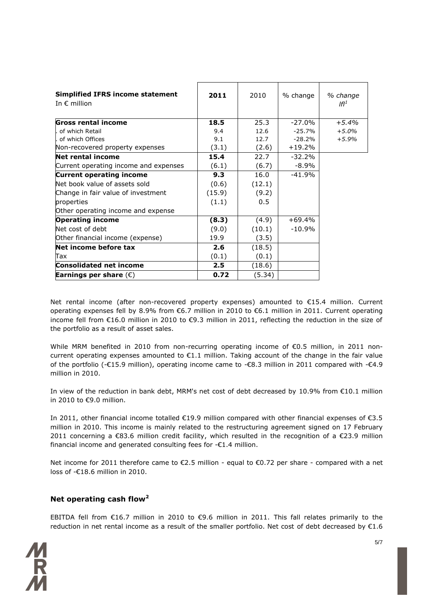| <b>Simplified IFRS income statement</b><br>In $\epsilon$ million | 2011   | 2010   | % change  | % change<br>IfI <sup>1</sup> |
|------------------------------------------------------------------|--------|--------|-----------|------------------------------|
| Gross rental income                                              | 18.5   | 25.3   | $-27.0\%$ | $+5.4%$                      |
| of which Retail                                                  | 9.4    | 12.6   | $-25.7%$  | $+5.0%$                      |
| . of which Offices                                               | 9.1    | 12.7   | $-28.2\%$ | $+5.9%$                      |
| Non-recovered property expenses                                  | (3.1)  | (2.6)  | $+19.2\%$ |                              |
| <b>Net rental income</b>                                         | 15.4   | 22.7   | $-32.2%$  |                              |
| Current operating income and expenses                            | (6.1)  | (6.7)  | $-8.9\%$  |                              |
| <b>Current operating income</b>                                  | 9.3    | 16.0   | $-41.9%$  |                              |
| Net book value of assets sold                                    | (0.6)  | (12.1) |           |                              |
| Change in fair value of investment                               | (15.9) | (9.2)  |           |                              |
| properties                                                       | (1.1)  | 0.5    |           |                              |
| Other operating income and expense                               |        |        |           |                              |
| <b>Operating income</b>                                          | (8.3)  | (4.9)  | $+69.4%$  |                              |
| Net cost of debt                                                 | (9.0)  | (10.1) | $-10.9%$  |                              |
| Other financial income (expense)                                 | 19.9   | (3.5)  |           |                              |
| Net income before tax                                            | 2.6    | (18.5) |           |                              |
| Tax                                                              | (0.1)  | (0.1)  |           |                              |
| <b>Consolidated net income</b>                                   | 2.5    | (18.6) |           |                              |
| Earnings per share $(\epsilon)$                                  | 0.72   | (5.34) |           |                              |

Net rental income (after non-recovered property expenses) amounted to €15.4 million. Current operating expenses fell by 8.9% from €6.7 million in 2010 to €6.1 million in 2011. Current operating income fell from €16.0 million in 2010 to €9.3 million in 2011, reflecting the reduction in the size of the portfolio as a result of asset sales.

While MRM benefited in 2010 from non-recurring operating income of €0.5 million, in 2011 noncurrent operating expenses amounted to €1.1 million. Taking account of the change in the fair value of the portfolio (-€15.9 million), operating income came to -€8.3 million in 2011 compared with -€4.9 million in 2010.

In view of the reduction in bank debt, MRM's net cost of debt decreased by 10.9% from €10.1 million in 2010 to €9.0 million.

In 2011, other financial income totalled €19.9 million compared with other financial expenses of €3.5 million in 2010. This income is mainly related to the restructuring agreement signed on 17 February 2011 concerning a €83.6 million credit facility, which resulted in the recognition of a €23.9 million financial income and generated consulting fees for -€1.4 million.

Net income for 2011 therefore came to €2.5 million - equal to €0.72 per share - compared with a net loss of -€18.6 million in 2010.

# **Net operating cash flow<sup>2</sup>**

EBITDA fell from €16.7 million in 2010 to €9.6 million in 2011. This fall relates primarily to the reduction in net rental income as a result of the smaller portfolio. Net cost of debt decreased by €1.6

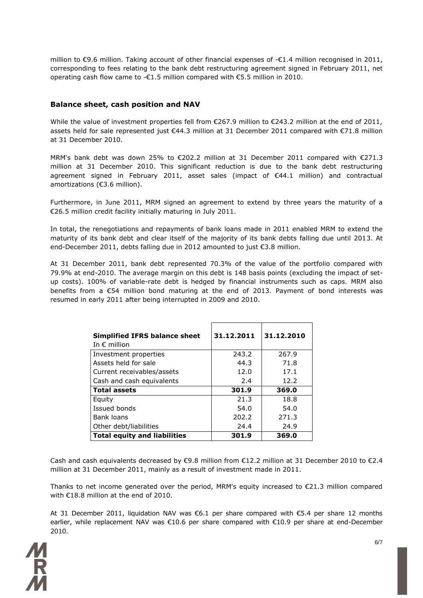million to €9.6 million. Taking account of other financial expenses of -€1.4 million recognised in 2011, corresponding to fees relating to the bank debt restructuring agreement signed in February 2011, net operating cash flow came to -€1.5 million compared with €5.5 million in 2010.

#### **Balance sheet, cash position and NAV**

While the value of investment properties fell from €267.9 million to €243.2 million at the end of 2011, assets held for sale represented just €44.3 million at 31 December 2011 compared with €71.8 million at 31 December 2010.

MRM's bank debt was down 25% to €202.2 million at 31 December 2011 compared with €271.3 million at 31 December 2010. This significant reduction is due to the bank debt restructuring agreement signed in February 2011, asset sales (impact of €44.1 million) and contractual amortizations (€3.6 million).

Furthermore, in June 2011, MRM signed an agreement to extend by three years the maturity of a €26.5 million credit facility initially maturing in July 2011.

In total, the renegotiations and repayments of bank loans made in 2011 enabled MRM to extend the maturity of its bank debt and clear itself of the majority of its bank debts falling due until 2013. At end-December 2011, debts falling due in 2012 amounted to just €3.8 million.

At 31 December 2011, bank debt represented 70.3% of the value of the portfolio compared with 79.9% at end-2010. The average margin on this debt is 148 basis points (excluding the impact of setup costs). 100% of variable-rate debt is hedged by financial instruments such as caps. MRM also benefits from a  $\epsilon$ 54 million bond maturing at the end of 2013. Payment of bond interests was resumed in early 2011 after being interrupted in 2009 and 2010.

| <b>Simplified IFRS balance sheet</b><br>In $\epsilon$ million | 31.12.2011 | 31.12.2010 |
|---------------------------------------------------------------|------------|------------|
| Investment properties                                         | 243.2      | 267.9      |
| Assets held for sale                                          | 44.3       | 71.8       |
| Current receivables/assets                                    | 12.0       | 17.1       |
| Cash and cash equivalents                                     | 2.4        | 12.2       |
| <b>Total assets</b>                                           | 301.9      | 369.0      |
| Equity                                                        | 21.3       | 18.8       |
| Issued bonds                                                  | 54.0       | 54.0       |
| Bank loans                                                    | 202.2      | 271.3      |
| Other debt/liabilities                                        | 24.4       | 24.9       |
| <b>Total equity and liabilities</b>                           | 301.9      | 369.0      |

Cash and cash equivalents decreased by  $\epsilon$ 9.8 million from  $\epsilon$ 12.2 million at 31 December 2010 to  $\epsilon$ 2.4 million at 31 December 2011, mainly as a result of investment made in 2011.

Thanks to net income generated over the period, MRM's equity increased to  $E21.3$  million compared with €18.8 million at the end of 2010.

At 31 December 2011, liquidation NAV was €6.1 per share compared with €5.4 per share 12 months earlier, while replacement NAV was €10.6 per share compared with €10.9 per share at end-December 2010.